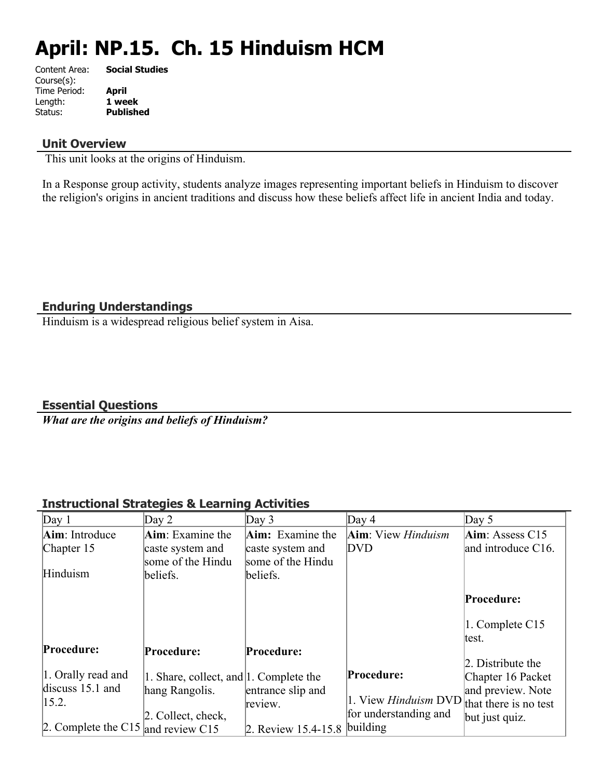# **April: NP.15. Ch. 15 Hinduism HCM**

| Content Area: | <b>Social Studies</b> |
|---------------|-----------------------|
| Course(s):    |                       |
| Time Period:  | April                 |
| Length:       | 1 week                |
| Status:       | <b>Published</b>      |
|               |                       |

#### **Unit Overview**

This unit looks at the origins of Hinduism.

In a Response group activity, students analyze images representing important beliefs in Hinduism to discover the religion's origins in ancient traditions and discuss how these beliefs affect life in ancient India and today.

## **Enduring Understandings**

Hinduism is a widespread religious belief system in Aisa.

**Essential Questions**

*What are the origins and beliefs of Hinduism?* 

# **Instructional Strategies & Learning Activities**

| Day 1                              | Day 2                                  | Day $3$                 | Day 4                                             | Day $5$            |
|------------------------------------|----------------------------------------|-------------------------|---------------------------------------------------|--------------------|
| Aim: Introduce                     | Aim: Examine the                       | <b>Aim:</b> Examine the | Aim: View <i>Hinduism</i>                         | Aim: Assess $C15$  |
| Chapter 15                         | caste system and                       | caste system and        | DVD                                               | and introduce C16. |
|                                    | some of the Hindu                      | some of the Hindu       |                                                   |                    |
| Hinduism                           | beliefs.                               | beliefs.                |                                                   |                    |
|                                    |                                        |                         |                                                   | Procedure:         |
|                                    |                                        |                         |                                                   |                    |
|                                    |                                        |                         |                                                   | 1. Complete C15    |
|                                    |                                        |                         |                                                   | ltest.             |
| Procedure:                         | Procedure:                             | Procedure:              |                                                   |                    |
|                                    |                                        |                         |                                                   | 2. Distribute the  |
| 1. Orally read and                 | 1. Share, collect, and 1. Complete the |                         | Procedure:                                        | Chapter 16 Packet  |
| discuss $15.1$ and                 | hang Rangolis.                         | entrance slip and       |                                                   | and preview. Note  |
| 15.2.                              |                                        | review.                 | 1. View <i>Hinduism</i> DVD that there is no test |                    |
|                                    | 2. Collect, check,                     |                         | for understanding and                             | but just quiz.     |
| 2. Complete the C15 and review C15 |                                        | 2. Review $15.4 - 15.8$ | building                                          |                    |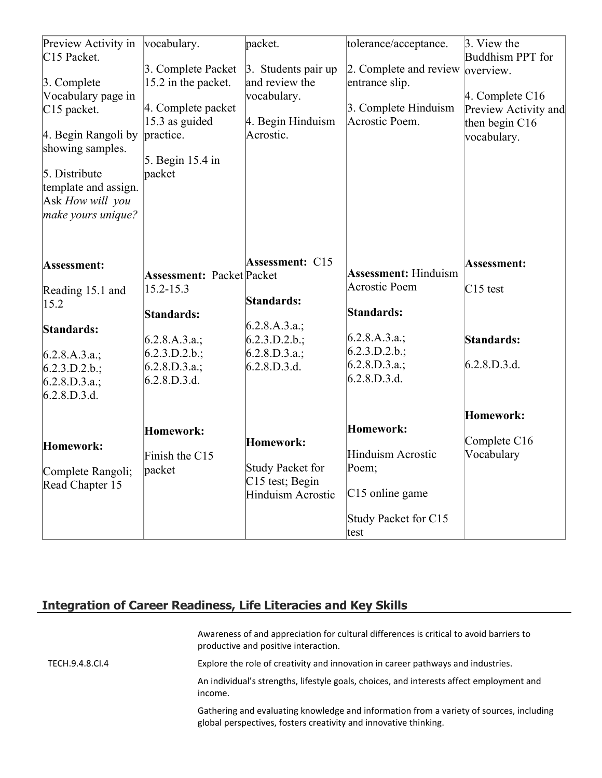| Preview Activity in<br>C <sub>15</sub> Packet. | vocabulary.                      | packet.                  | tolerance/acceptance.       | $\beta$ . View the<br>Buddhism PPT for |
|------------------------------------------------|----------------------------------|--------------------------|-----------------------------|----------------------------------------|
|                                                | 3. Complete Packet               | 3. Students pair up      | 2. Complete and review      | loverview.                             |
| 3. Complete                                    | 15.2 in the packet.              | and review the           | entrance slip.              |                                        |
| Vocabulary page in                             | 4. Complete packet               | vocabulary.              | 3. Complete Hinduism        | 4. Complete C16                        |
| C <sub>15</sub> packet.                        | 15.3 as guided                   | 4. Begin Hinduism        | Acrostic Poem.              | Preview Activity and                   |
| 4. Begin Rangoli by                            | practice.                        | Acrostic.                |                             | then begin C16                         |
|                                                |                                  |                          |                             | vocabulary.                            |
| showing samples.                               | 5. Begin 15.4 in                 |                          |                             |                                        |
| $5.$ Distribute                                | packet                           |                          |                             |                                        |
| template and assign.                           |                                  |                          |                             |                                        |
|                                                |                                  |                          |                             |                                        |
| Ask How will you                               |                                  |                          |                             |                                        |
| make yours unique?                             |                                  |                          |                             |                                        |
|                                                |                                  |                          |                             |                                        |
| Assessment:                                    |                                  | <b>Assessment: C15</b>   |                             | Assessment:                            |
|                                                | <b>Assessment: Packet Packet</b> |                          | <b>Assessment: Hinduism</b> |                                        |
| Reading 15.1 and                               | $15.2 - 15.3$                    |                          | Acrostic Poem               | $C15$ test                             |
| 15.2                                           |                                  | Standards:               |                             |                                        |
|                                                | Standards:                       |                          | Standards:                  |                                        |
| Standards:                                     |                                  | 6.2.8.A.3.a.;            |                             |                                        |
|                                                | 6.2.8.A.3.a.;                    | $6.2.3.D.2.b.$ ;         | (6.2.8.A.3.a.;              | Standards:                             |
| 6.2.8.A.3.a.;                                  | $6.2.3.D.2.b.$ ;                 | $6.2.8.D.3.a.$ ;         | $6.2.3.D.2.b.$ ;            |                                        |
| $6.2.3.D.2.b.$ ;                               | $6.2.8.D.3.a.$ ;                 | 6.2.8.D.3.d.             | 6.2.8.D.3.a.;               | 6.2.8.D.3.d.                           |
| $6.2.8.D.3.a.$ ;                               | 6.2.8.D.3.d.                     |                          | 6.2.8.D.3.d.                |                                        |
| 6.2.8.D.3.d.                                   |                                  |                          |                             |                                        |
|                                                |                                  |                          |                             | Homework:                              |
|                                                |                                  |                          |                             |                                        |
|                                                | <b>Homework:</b>                 |                          | Homework:                   | Complete C16                           |
| Homework:                                      |                                  | Homework:                | <b>Hinduism Acrostic</b>    | Vocabulary                             |
|                                                | Finish the C15                   |                          |                             |                                        |
| Complete Rangoli;                              | packet                           | Study Packet for         | Poem;                       |                                        |
| Read Chapter 15                                |                                  | $C15$ test; Begin        |                             |                                        |
|                                                |                                  | <b>Hinduism Acrostic</b> | $C15$ online game           |                                        |
|                                                |                                  |                          | Study Packet for C15        |                                        |
|                                                |                                  |                          | test                        |                                        |

# **Integration of Career Readiness, Life Literacies and Key Skills**

|                 | Awareness of and appreciation for cultural differences is critical to avoid barriers to<br>productive and positive interaction.                             |
|-----------------|-------------------------------------------------------------------------------------------------------------------------------------------------------------|
| TECH.9.4.8.CI.4 | Explore the role of creativity and innovation in career pathways and industries.                                                                            |
|                 | An individual's strengths, lifestyle goals, choices, and interests affect employment and<br>income.                                                         |
|                 | Gathering and evaluating knowledge and information from a variety of sources, including<br>global perspectives, fosters creativity and innovative thinking. |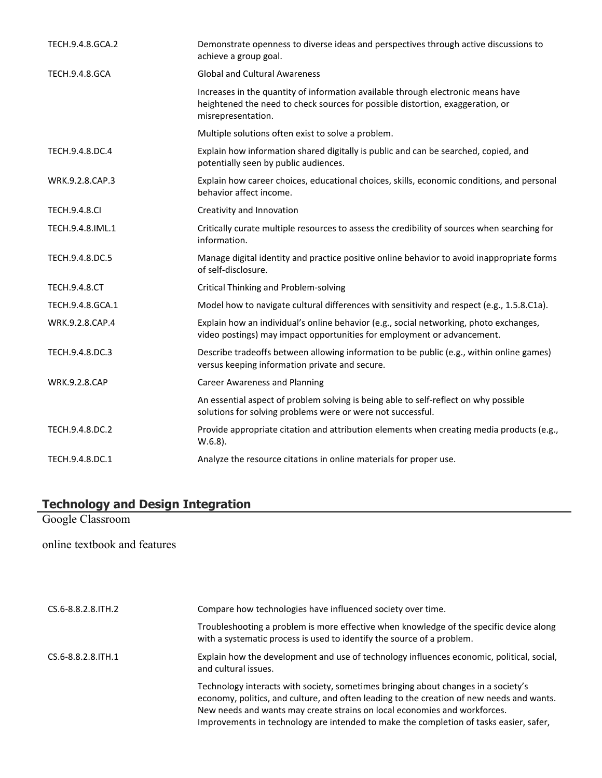| TECH.9.4.8.GCA.2      | Demonstrate openness to diverse ideas and perspectives through active discussions to<br>achieve a group goal.                                                                            |
|-----------------------|------------------------------------------------------------------------------------------------------------------------------------------------------------------------------------------|
| <b>TECH.9.4.8.GCA</b> | <b>Global and Cultural Awareness</b>                                                                                                                                                     |
|                       | Increases in the quantity of information available through electronic means have<br>heightened the need to check sources for possible distortion, exaggeration, or<br>misrepresentation. |
|                       | Multiple solutions often exist to solve a problem.                                                                                                                                       |
| TECH.9.4.8.DC.4       | Explain how information shared digitally is public and can be searched, copied, and<br>potentially seen by public audiences.                                                             |
| WRK.9.2.8.CAP.3       | Explain how career choices, educational choices, skills, economic conditions, and personal<br>behavior affect income.                                                                    |
| <b>TECH.9.4.8.CI</b>  | Creativity and Innovation                                                                                                                                                                |
| TECH.9.4.8.IML.1      | Critically curate multiple resources to assess the credibility of sources when searching for<br>information.                                                                             |
| TECH.9.4.8.DC.5       | Manage digital identity and practice positive online behavior to avoid inappropriate forms<br>of self-disclosure.                                                                        |
| <b>TECH.9.4.8.CT</b>  | <b>Critical Thinking and Problem-solving</b>                                                                                                                                             |
| TECH.9.4.8.GCA.1      | Model how to navigate cultural differences with sensitivity and respect (e.g., 1.5.8.C1a).                                                                                               |
| WRK.9.2.8.CAP.4       | Explain how an individual's online behavior (e.g., social networking, photo exchanges,<br>video postings) may impact opportunities for employment or advancement.                        |
| TECH.9.4.8.DC.3       | Describe tradeoffs between allowing information to be public (e.g., within online games)<br>versus keeping information private and secure.                                               |
| <b>WRK.9.2.8.CAP</b>  | <b>Career Awareness and Planning</b>                                                                                                                                                     |
|                       | An essential aspect of problem solving is being able to self-reflect on why possible<br>solutions for solving problems were or were not successful.                                      |
| TECH.9.4.8.DC.2       | Provide appropriate citation and attribution elements when creating media products (e.g.,<br>$W.6.8$ ).                                                                                  |
| TECH.9.4.8.DC.1       | Analyze the resource citations in online materials for proper use.                                                                                                                       |

#### **Technology and Design Integration**

Google Classroom

# online textbook and features

| CS.6-8.8.2.8. TH. 2 | Compare how technologies have influenced society over time.                                                                                                                                                                                                                                                                                            |  |
|---------------------|--------------------------------------------------------------------------------------------------------------------------------------------------------------------------------------------------------------------------------------------------------------------------------------------------------------------------------------------------------|--|
|                     | Troubleshooting a problem is more effective when knowledge of the specific device along<br>with a systematic process is used to identify the source of a problem.                                                                                                                                                                                      |  |
| CS.6-8.8.2.8. TH. 1 | Explain how the development and use of technology influences economic, political, social,<br>and cultural issues.                                                                                                                                                                                                                                      |  |
|                     | Technology interacts with society, sometimes bringing about changes in a society's<br>economy, politics, and culture, and often leading to the creation of new needs and wants.<br>New needs and wants may create strains on local economies and workforces.<br>Improvements in technology are intended to make the completion of tasks easier, safer, |  |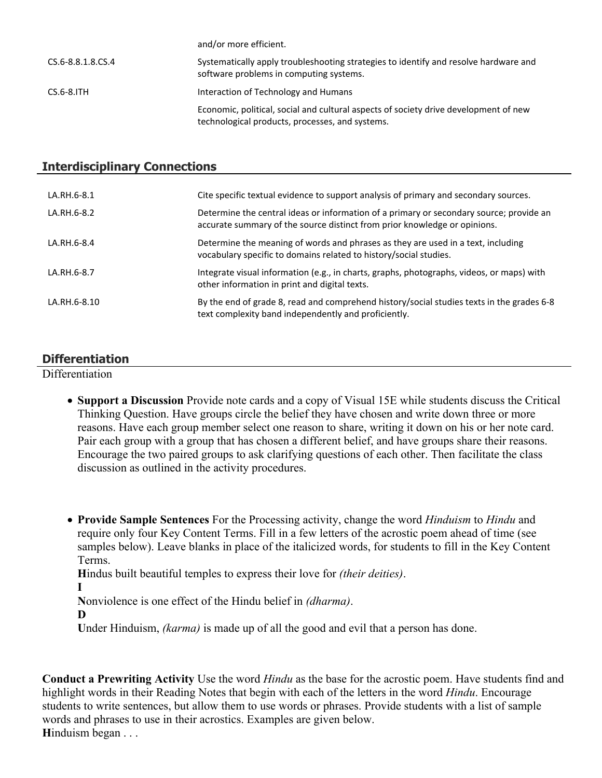|                   | and, or more childrent.                                                                                                                 |
|-------------------|-----------------------------------------------------------------------------------------------------------------------------------------|
| CS.6-8.8.1.8.CS.4 | Systematically apply troubleshooting strategies to identify and resolve hardware and<br>software problems in computing systems.         |
| $CS.6-8.$ ITH     | Interaction of Technology and Humans                                                                                                    |
|                   | Economic, political, social and cultural aspects of society drive development of new<br>technological products, processes, and systems. |

and/or more efficient.

#### **Interdisciplinary Connections**

| LA.RH.6-8.1  | Cite specific textual evidence to support analysis of primary and secondary sources.                                                                                 |
|--------------|----------------------------------------------------------------------------------------------------------------------------------------------------------------------|
| LA.RH.6-8.2  | Determine the central ideas or information of a primary or secondary source; provide an<br>accurate summary of the source distinct from prior knowledge or opinions. |
| LA.RH.6-8.4  | Determine the meaning of words and phrases as they are used in a text, including<br>vocabulary specific to domains related to history/social studies.                |
| LA.RH.6-8.7  | Integrate visual information (e.g., in charts, graphs, photographs, videos, or maps) with<br>other information in print and digital texts.                           |
| LA.RH.6-8.10 | By the end of grade 8, read and comprehend history/social studies texts in the grades 6-8<br>text complexity band independently and proficiently.                    |

#### **Differentiation**

**Differentiation** 

- **Support a Discussion** Provide note cards and a copy of Visual 15E while students discuss the Critical Thinking Question. Have groups circle the belief they have chosen and write down three or more reasons. Have each group member select one reason to share, writing it down on his or her note card. Pair each group with a group that has chosen a different belief, and have groups share their reasons. Encourage the two paired groups to ask clarifying questions of each other. Then facilitate the class discussion as outlined in the activity procedures.
- **Provide Sample Sentences** For the Processing activity, change the word *Hinduism* to *Hindu* and require only four Key Content Terms. Fill in a few letters of the acrostic poem ahead of time (see samples below). Leave blanks in place of the italicized words, for students to fill in the Key Content Terms.

**H**indus built beautiful temples to express their love for *(their deities)*.

**I**

**N**onviolence is one effect of the Hindu belief in *(dharma)*.

**D**

**U**nder Hinduism, *(karma)* is made up of all the good and evil that a person has done.

**Conduct a Prewriting Activity** Use the word *Hindu* as the base for the acrostic poem. Have students find and highlight words in their Reading Notes that begin with each of the letters in the word *Hindu*. Encourage students to write sentences, but allow them to use words or phrases. Provide students with a list of sample words and phrases to use in their acrostics. Examples are given below. **H**induism began . . .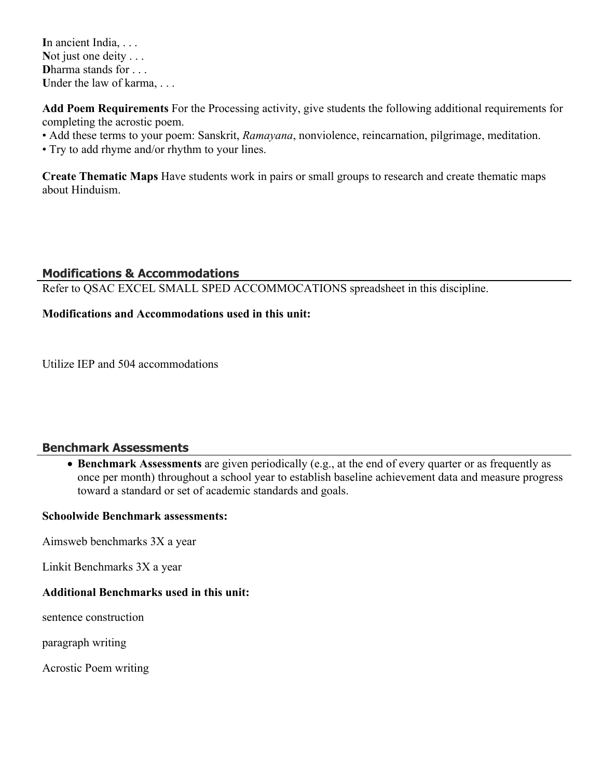**I**n ancient India, . . . Not just one deity . . . **D**harma stands for . . . Under the law of karma, ...

**Add Poem Requirements** For the Processing activity, give students the following additional requirements for completing the acrostic poem.

- Add these terms to your poem: Sanskrit, *Ramayana*, nonviolence, reincarnation, pilgrimage, meditation.
- Try to add rhyme and/or rhythm to your lines.

**Create Thematic Maps** Have students work in pairs or small groups to research and create thematic maps about Hinduism.

#### **Modifications & Accommodations**

Refer to QSAC EXCEL SMALL SPED ACCOMMOCATIONS spreadsheet in this discipline.

## **Modifications and Accommodations used in this unit:**

Utilize IEP and 504 accommodations

#### **Benchmark Assessments**

 **Benchmark Assessments** are given periodically (e.g., at the end of every quarter or as frequently as once per month) throughout a school year to establish baseline achievement data and measure progress toward a standard or set of academic standards and goals.

#### **Schoolwide Benchmark assessments:**

Aimsweb benchmarks 3X a year

Linkit Benchmarks 3X a year

#### **Additional Benchmarks used in this unit:**

sentence construction

paragraph writing

Acrostic Poem writing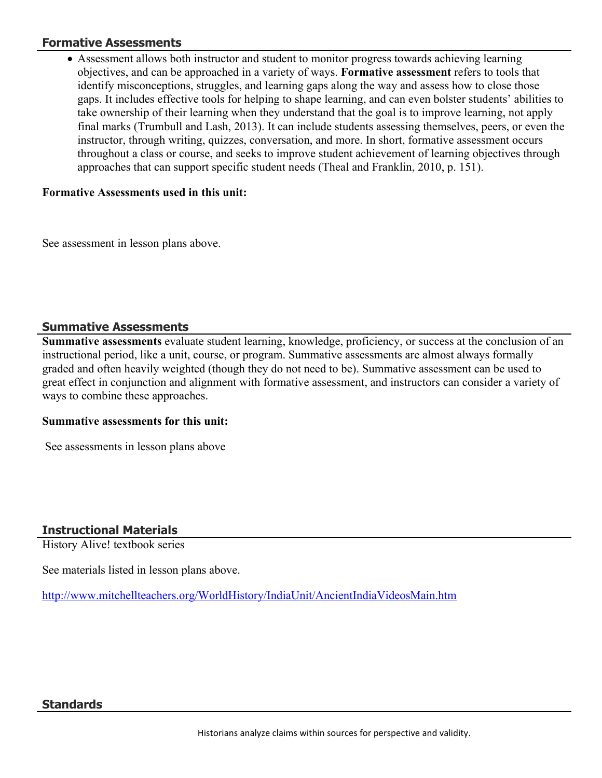#### **Formative Assessments**

 Assessment allows both instructor and student to monitor progress towards achieving learning objectives, and can be approached in a variety of ways. **Formative assessment** refers to tools that identify misconceptions, struggles, and learning gaps along the way and assess how to close those gaps. It includes effective tools for helping to shape learning, and can even bolster students' abilities to take ownership of their learning when they understand that the goal is to improve learning, not apply final marks (Trumbull and Lash, 2013). It can include students assessing themselves, peers, or even the instructor, through writing, quizzes, conversation, and more. In short, formative assessment occurs throughout a class or course, and seeks to improve student achievement of learning objectives through approaches that can support specific student needs (Theal and Franklin, 2010, p. 151).

#### **Formative Assessments used in this unit:**

See assessment in lesson plans above.

## **Summative Assessments**

**Summative assessments** evaluate student learning, knowledge, proficiency, or success at the conclusion of an instructional period, like a unit, course, or program. Summative assessments are almost always formally graded and often heavily weighted (though they do not need to be). Summative assessment can be used to great effect in conjunction and alignment with formative assessment, and instructors can consider a variety of ways to combine these approaches.

#### **Summative assessments for this unit:**

See assessments in lesson plans above

# **Instructional Materials**

History Alive! textbook series

See materials listed in lesson plans above.

<http://www.mitchellteachers.org/WorldHistory/IndiaUnit/AncientIndiaVideosMain.htm>

#### **Standards**